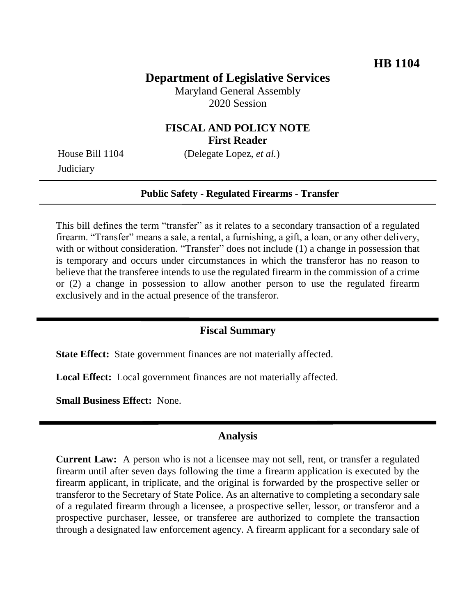# **Department of Legislative Services**

Maryland General Assembly 2020 Session

## **FISCAL AND POLICY NOTE First Reader**

**Judiciary** 

House Bill 1104 (Delegate Lopez, *et al.*)

### **Public Safety - Regulated Firearms - Transfer**

This bill defines the term "transfer" as it relates to a secondary transaction of a regulated firearm. "Transfer" means a sale, a rental, a furnishing, a gift, a loan, or any other delivery, with or without consideration. "Transfer" does not include (1) a change in possession that is temporary and occurs under circumstances in which the transferor has no reason to believe that the transferee intends to use the regulated firearm in the commission of a crime or (2) a change in possession to allow another person to use the regulated firearm exclusively and in the actual presence of the transferor.

#### **Fiscal Summary**

**State Effect:** State government finances are not materially affected.

**Local Effect:** Local government finances are not materially affected.

**Small Business Effect:** None.

### **Analysis**

**Current Law:** A person who is not a licensee may not sell, rent, or transfer a regulated firearm until after seven days following the time a firearm application is executed by the firearm applicant, in triplicate, and the original is forwarded by the prospective seller or transferor to the Secretary of State Police. As an alternative to completing a secondary sale of a regulated firearm through a licensee, a prospective seller, lessor, or transferor and a prospective purchaser, lessee, or transferee are authorized to complete the transaction through a designated law enforcement agency. A firearm applicant for a secondary sale of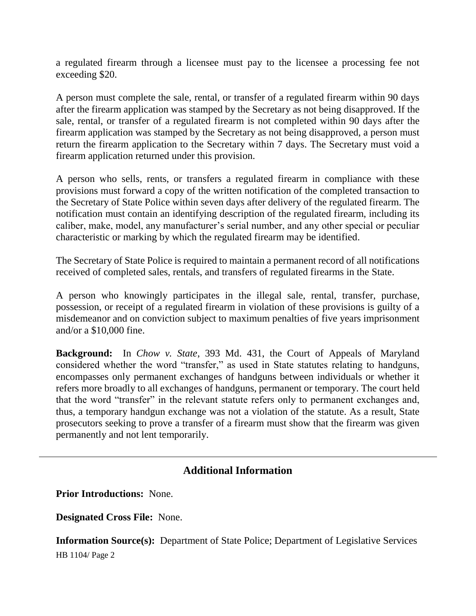a regulated firearm through a licensee must pay to the licensee a processing fee not exceeding \$20.

A person must complete the sale, rental, or transfer of a regulated firearm within 90 days after the firearm application was stamped by the Secretary as not being disapproved. If the sale, rental, or transfer of a regulated firearm is not completed within 90 days after the firearm application was stamped by the Secretary as not being disapproved, a person must return the firearm application to the Secretary within 7 days. The Secretary must void a firearm application returned under this provision.

A person who sells, rents, or transfers a regulated firearm in compliance with these provisions must forward a copy of the written notification of the completed transaction to the Secretary of State Police within seven days after delivery of the regulated firearm. The notification must contain an identifying description of the regulated firearm, including its caliber, make, model, any manufacturer's serial number, and any other special or peculiar characteristic or marking by which the regulated firearm may be identified.

The Secretary of State Police is required to maintain a permanent record of all notifications received of completed sales, rentals, and transfers of regulated firearms in the State.

A person who knowingly participates in the illegal sale, rental, transfer, purchase, possession, or receipt of a regulated firearm in violation of these provisions is guilty of a misdemeanor and on conviction subject to maximum penalties of five years imprisonment and/or a \$10,000 fine.

**Background:** In *Chow v. State*, 393 Md. 431, the Court of Appeals of Maryland considered whether the word "transfer," as used in State statutes relating to handguns, encompasses only permanent exchanges of handguns between individuals or whether it refers more broadly to all exchanges of handguns, permanent or temporary. The court held that the word "transfer" in the relevant statute refers only to permanent exchanges and, thus, a temporary handgun exchange was not a violation of the statute. As a result, State prosecutors seeking to prove a transfer of a firearm must show that the firearm was given permanently and not lent temporarily.

## **Additional Information**

**Prior Introductions:** None.

**Designated Cross File:** None.

HB 1104/ Page 2 **Information Source(s):** Department of State Police; Department of Legislative Services